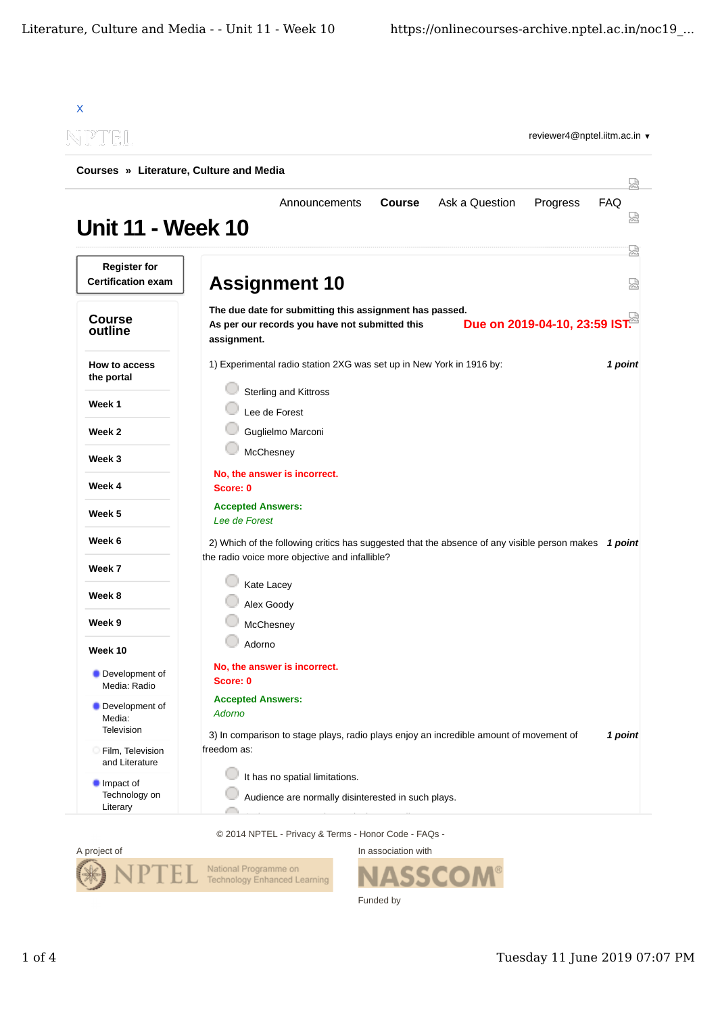| -PTEL                                            | reviewer4@nptel.iitm.ac.in ▼                                                                                                                              |         |
|--------------------------------------------------|-----------------------------------------------------------------------------------------------------------------------------------------------------------|---------|
| Courses » Literature, Culture and Media          |                                                                                                                                                           | 닜       |
| <b>Unit 11 - Week 10</b>                         | Ask a Question<br>FAQ<br>Announcements<br><b>Course</b><br>Progress                                                                                       | Ѩ       |
| <b>Register for</b><br><b>Certification exam</b> | <b>Assignment 10</b>                                                                                                                                      | 덣<br>52 |
| <b>Course</b><br>outline                         | The due date for submitting this assignment has passed.<br>Due on 2019-04-10, 23:59 IST.<br>As per our records you have not submitted this<br>assignment. |         |
| How to access<br>the portal                      | 1) Experimental radio station 2XG was set up in New York in 1916 by:<br><b>Sterling and Kittross</b>                                                      | 1 point |
| Week 1                                           | Lee de Forest                                                                                                                                             |         |
| Week 2                                           | Guglielmo Marconi                                                                                                                                         |         |
| Week 3                                           | McChesney                                                                                                                                                 |         |
| Week 4                                           | No, the answer is incorrect.<br>Score: 0                                                                                                                  |         |
| Week 5                                           | <b>Accepted Answers:</b><br>Lee de Forest                                                                                                                 |         |
| Week 6                                           | 2) Which of the following critics has suggested that the absence of any visible person makes 1 point<br>the radio voice more objective and infallible?    |         |
| Week 7                                           |                                                                                                                                                           |         |
| Week 8                                           | Kate Lacey                                                                                                                                                |         |
| Week 9                                           | Alex Goody<br>McChesney                                                                                                                                   |         |
| Week 10                                          | Adorno                                                                                                                                                    |         |
| Development of<br>Media: Radio                   | No, the answer is incorrect.<br>Score: 0                                                                                                                  |         |
| Development of<br>Media:<br>Television           | <b>Accepted Answers:</b><br><b>Adorno</b><br>3) In comparison to stage plays, radio plays enjoy an incredible amount of movement of                       | 1 point |
| Film, Television<br>and Literature               | freedom as:                                                                                                                                               |         |
| Impact of<br>Technology on                       | It has no spatial limitations.<br>Audience are normally disinterested in such plays.                                                                      |         |

© 2014 NPTEL - Privacy & Terms - Honor Code - FAQs -



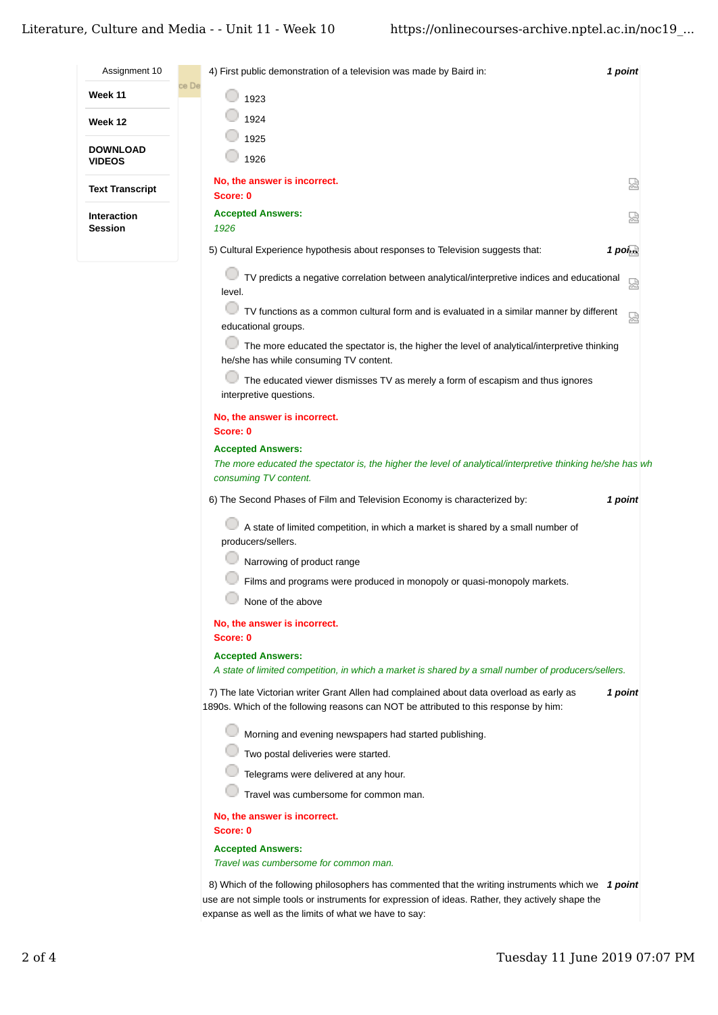|                                  | Literature, Culture and Media - - Unit 11 - Week 10<br>https://onlinecourses-archive.nptel.ac.in/noc19                                                                                     |
|----------------------------------|--------------------------------------------------------------------------------------------------------------------------------------------------------------------------------------------|
| Assignment 10                    | 4) First public demonstration of a television was made by Baird in:<br>1 point                                                                                                             |
| Week 11                          | ce De<br>1923                                                                                                                                                                              |
| Week 12                          | 1924                                                                                                                                                                                       |
|                                  | 1925                                                                                                                                                                                       |
| <b>DOWNLOAD</b><br><b>VIDEOS</b> | 1926                                                                                                                                                                                       |
| <b>Text Transcript</b>           | No, the answer is incorrect.<br>얺<br>Score: 0                                                                                                                                              |
| Interaction<br><b>Session</b>    | <b>Accepted Answers:</b><br>圀<br>1926                                                                                                                                                      |
|                                  | 5) Cultural Experience hypothesis about responses to Television suggests that:<br>$1$ points                                                                                               |
|                                  | TV predicts a negative correlation between analytical/interpretive indices and educational<br>恩<br>level.                                                                                  |
|                                  | TV functions as a common cultural form and is evaluated in a similar manner by different<br>恩<br>educational groups.                                                                       |
|                                  | The more educated the spectator is, the higher the level of analytical/interpretive thinking<br>he/she has while consuming TV content.                                                     |
|                                  | The educated viewer dismisses TV as merely a form of escapism and thus ignores<br>interpretive questions.                                                                                  |
|                                  | No, the answer is incorrect.<br>Score: 0                                                                                                                                                   |
|                                  | <b>Accepted Answers:</b><br>The more educated the spectator is, the higher the level of analytical/interpretive thinking he/she has wh<br>consuming TV content.                            |
|                                  | 6) The Second Phases of Film and Television Economy is characterized by:<br>1 point                                                                                                        |
|                                  | A state of limited competition, in which a market is shared by a small number of<br>producers/sellers.                                                                                     |
|                                  | Narrowing of product range                                                                                                                                                                 |
|                                  | Films and programs were produced in monopoly or quasi-monopoly markets.                                                                                                                    |
|                                  | None of the above                                                                                                                                                                          |
|                                  | No, the answer is incorrect.<br>Score: 0                                                                                                                                                   |
|                                  | <b>Accepted Answers:</b><br>A state of limited competition, in which a market is shared by a small number of producers/sellers.                                                            |
|                                  | 7) The late Victorian writer Grant Allen had complained about data overload as early as<br>1 point<br>1890s. Which of the following reasons can NOT be attributed to this response by him: |
|                                  | Morning and evening newspapers had started publishing.                                                                                                                                     |
|                                  | Two postal deliveries were started.                                                                                                                                                        |
|                                  | Telegrams were delivered at any hour.                                                                                                                                                      |
|                                  | Travel was cumbersome for common man.                                                                                                                                                      |
|                                  | No, the answer is incorrect.<br>Score: 0                                                                                                                                                   |
|                                  | <b>Accepted Answers:</b>                                                                                                                                                                   |

*Travel was cumbersome for common man.*

8) Which of the following philosophers has commented that the writing instruments which we 1 point use are not simple tools or instruments for expression of ideas. Rather, they actively shape the expanse as well as the limits of what we have to say: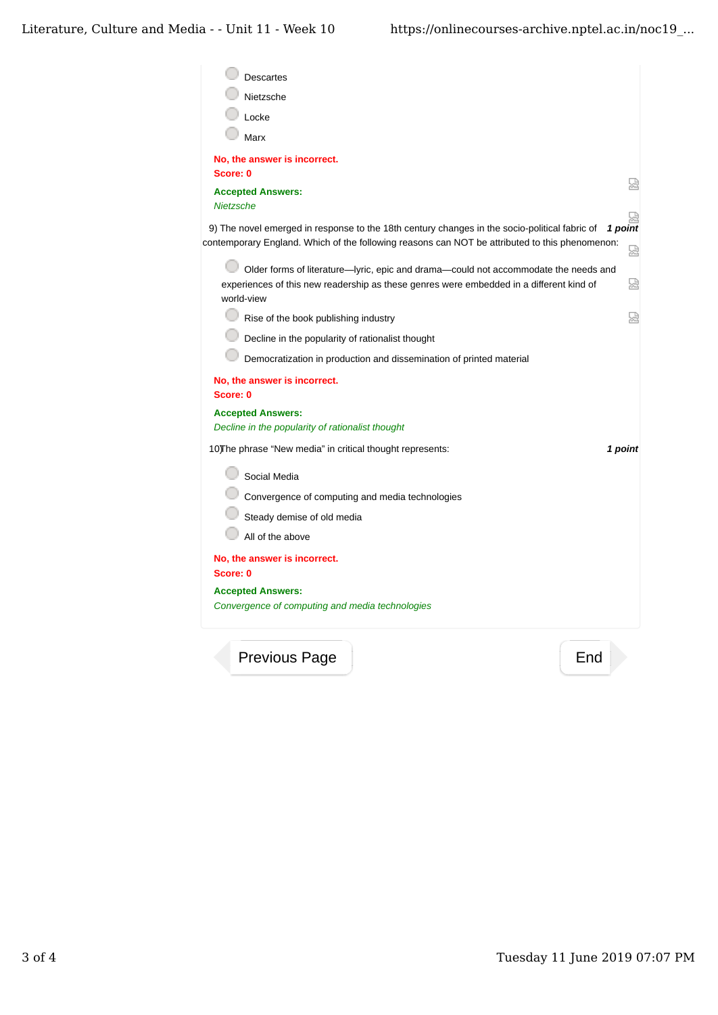| <b>Descartes</b>                                                                                                                                                                                |                   |
|-------------------------------------------------------------------------------------------------------------------------------------------------------------------------------------------------|-------------------|
| Nietzsche                                                                                                                                                                                       |                   |
| Locke                                                                                                                                                                                           |                   |
| Marx                                                                                                                                                                                            |                   |
| No, the answer is incorrect.                                                                                                                                                                    |                   |
| Score: 0                                                                                                                                                                                        |                   |
| <b>Accepted Answers:</b><br><b>Nietzsche</b>                                                                                                                                                    | 썭                 |
| 9) The novel emerged in response to the 18th century changes in the socio-political fabric of<br>contemporary England. Which of the following reasons can NOT be attributed to this phenomenon: | 덣<br>1 point<br>덣 |
| Older forms of literature-lyric, epic and drama-could not accommodate the needs and<br>experiences of this new readership as these genres were embedded in a different kind of<br>world-view    | 쩒                 |
| Rise of the book publishing industry                                                                                                                                                            | 앥                 |
| Decline in the popularity of rationalist thought                                                                                                                                                |                   |
| Democratization in production and dissemination of printed material                                                                                                                             |                   |
| No, the answer is incorrect.<br>Score: 0                                                                                                                                                        |                   |
| <b>Accepted Answers:</b>                                                                                                                                                                        |                   |
| Decline in the popularity of rationalist thought                                                                                                                                                |                   |
| 10) The phrase "New media" in critical thought represents:                                                                                                                                      | 1 point           |
| Social Media                                                                                                                                                                                    |                   |
| Convergence of computing and media technologies                                                                                                                                                 |                   |
| Steady demise of old media                                                                                                                                                                      |                   |
| All of the above                                                                                                                                                                                |                   |
| No, the answer is incorrect.<br>Score: 0                                                                                                                                                        |                   |
| <b>Accepted Answers:</b><br>Convergence of computing and media technologies                                                                                                                     |                   |
|                                                                                                                                                                                                 |                   |

Previous Page **End**